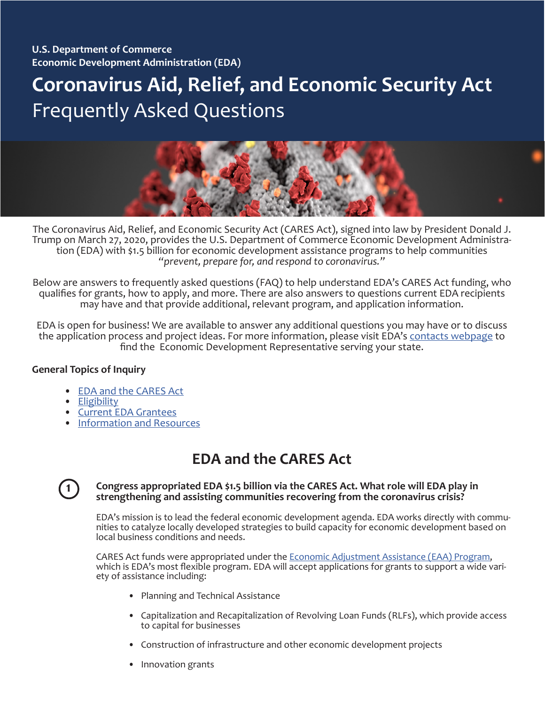# **Coronavirus Aid, Relief, and Economic Security Act** Frequently Asked Questions



The Coronavirus Aid, Relief, and Economic Security Act (CARES Act), signed into law by President Donald J. Trump on March 27, 2020, provides the U.S. Department of Commerce Economic Development Administra- tion (EDA) with \$1.5 billion for economic development assistance programs to help communities *"prevent, prepare for, and respond to coronavirus."* 

Below are answers to frequently asked questions (FAQ) to help understand EDA's CARES Act funding, who qualifies for grants, how to apply, and more. There are also answers to questions current EDA recipients may have and that provide additional, relevant program, and application information.

EDA is open for business! We are available to answer any additional questions you may have or to discuss the application process and project ideas. For more information, please visit EDA's [contacts webpage](https://www.eda.gov/contact/) to find the Economic Development Representative serving your state.

#### **General Topics of Inquiry**

- [EDA and the CARES Act](#page-0-0)
- **[Eligibility](#page-1-0)**
- [Current EDA Grantees](#page-2-0)
- [Information and Resources](#page-3-0)

# <span id="page-0-0"></span>**EDA and the CARES Act**



#### **Congress appropriated EDA \$1.5 billion via the CARES Act. What role will EDA play in strengthening and assisting communities recovering from the coronavirus crisis?**

EDA's mission is to lead the federal economic development agenda. EDA works directly with commu-<br>nities to catalyze locally developed strategies to build capacity for economic development based on local business conditions and needs.

CARES Act funds were appropriated under the [Economic Adjustment Assistance \(EAA\) Program,](https://www.eda.gov/pdf/about/Economic-Adjustment-Assistance-Program-1-Pager.pdf) which is EDA's most flexible program. EDA will accept applications for grants to support a wide variety of assistance including:

- Planning and Technical Assistance
- Capitalization and Recapitalization of Revolving Loan Funds (RLFs), which provide access to capital for businesses
- Construction of infrastructure and other economic development projects
- Innovation grants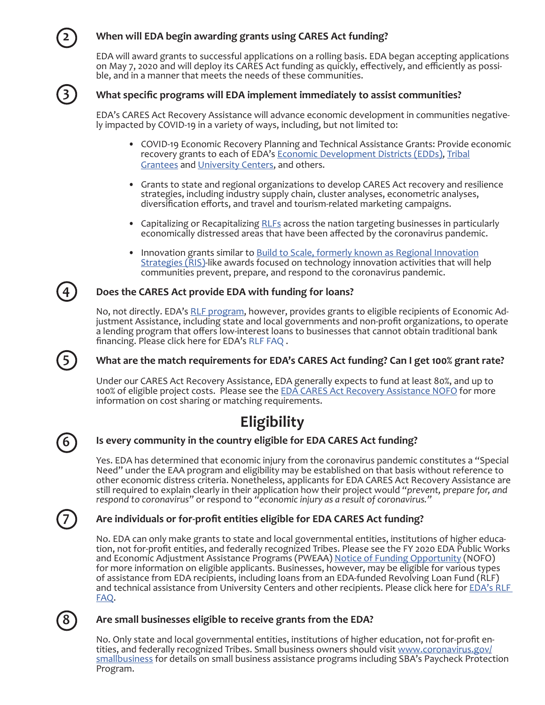#### **When will EDA begin awarding grants using CARES Act funding?**

EDA will award grants to successful applications on a rolling basis. EDA began accepting applications on May 7, 2020 and will deploy its CARES Act funding as quickly, effectively, and efficiently as possible, and in a manner that meets the needs of these communities.



**2**

#### **What specific programs will EDA implement immediately to assist communities?**

EDA's CARES Act Recovery Assistance will advance economic development in communities negatively impacted by COVID-19 in a variety of ways, including, but not limited to:

- COVID-19 Economic Recovery Planning and Technical Assistance Grants: Provide economic recovery grants to each of EDA's [Economic Development Districts \(EDDs\)](#page-3-1), [Tribal](https://eda.gov/resources/) [Grantees](https://eda.gov/resources/) and [University Centers](https://eda.gov/programs/university-centers/), and others.
- Grants to state and regional organizations to develop CARES Act recovery and resilience strategies, including industry supply chain, cluster analyses, econometric analyses, diversification efforts, and travel and tourism-related marketing campaigns.
- Capitalizing or Recapitalizing [RLF](https://eda.gov/files/rlf/rlf-program-fact-sheet.pdf)s across the nation targeting businesses in particularly economically distressed areas that have been affected by the coronavirus pandemic.
- Innovation grants similar to [Build to Scale, formerly known as Regional Innovation](https://eda.gov/oie/buildtoscale/) [Strategies \(RIS\)-](https://eda.gov/oie/buildtoscale/)like awards focused on technology innovation activities that will help communities prevent, prepare, and respond to the coronavirus pandemic.

#### **Does the CARES Act provide EDA with funding for loans?**

No, not directly. EDA's [RLF program](https://eda.gov/rlf/), however, provides grants to eligible recipients of Economic Adjustment Assistance, including state and local governments and non-profit organizations, to operate a lending program that offers low-interest loans to businesses that cannot obtain traditional bank financing. Please click here for EDA's [RLF FAQ](https://www.eda.gov/coronavirus/rlf/faq.htm) .

#### **What are the match requirements for EDA's CARES Act funding? Can I get 100% grant rate?**

Under our CARES Act Recovery Assistance, EDA generally expects to fund at least 80%, and up to 100% of eligible project costs. Please see the [EDA CARES Act Recovery Assistance NOFO](https://www.grants.gov/web/grants/view-opportunity.html?oppId=321695) for more information on cost sharing or matching requirements.

# <span id="page-1-0"></span>**Eligibility**

# **6**

**7**

#### **Is every community in the country eligible for EDA CARES Act funding?**

Yes. EDA has determined that economic injury from the coronavirus pandemic constitutes a "Special Need" under the EAA program and eligibility may be established on that basis without reference to other economic distress criteria. Nonetheless, applicants for EDA CARES Act Recovery Assistance are still required to explain clearly in their application how their project would *"prevent, prepare for, and respond to coronavirus"* or respond to *"economic injury as a result of coronavirus."* 

#### **Are individuals or for-profit entities eligible for EDA CARES Act funding?**

No. EDA can only make grants to state and local governmental entities, institutions of higher education, not for-profit entities, and federally recognized Tribes. Please see the FY 2020 EDA Public Works and Economic Adjustment Assistance Programs (PWEAA) [Notice of Funding Opportunity](https://www.eda.gov/pdf/about/Public-Works-Program-1-Pager.pdf) (NOFO) for more information on eligible applicants. Businesses, however, may be eligible for various types of assistance from EDA recipients, including loans from an EDA-funded Revolving Loan Fund (RLF) and technical assistance from University Centers and other recipients. Please click here for EDA's RLF [FAQ.](https://www.eda.gov/coronavirus/rlf/faq.htm)

### **8**

#### **Are small businesses eligible to receive grants from the EDA?**

No. Only state and local governmental entities, institutions of higher education, not for-profit en-<br>tities, and federally recognized Tribes. Small business owners should visit <u>www.coronavirus.gov/</u> [smallbusiness](http://www.coronavirus.gov/smallbusiness) for details on small business assistance programs including SBA's Paycheck Protection Program.



**5**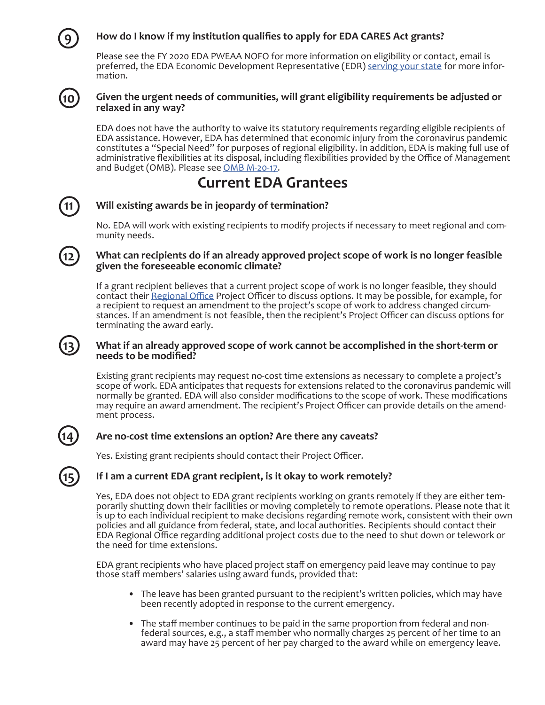#### **How do I know if my institution qualifies to apply for EDA CARES Act grants?**

Please see the FY 2020 EDA PWEAA NOFO for more information on eligibility or contact, email is preferred, the EDA Economic Development Representative (EDR) [serving your state](https://eda.gov/contact/) for more information.



**11**

**12**

**13**

**14**

**15**

**9**

#### **Given the urgent needs of communities, will grant eligibility requirements be adjusted or relaxed in any way?**

EDA does not have the authority to waive its statutory requirements regarding eligible recipients of EDA assistance. However, EDA has determined that economic injury from the coronavirus pandemic constitutes a "Special Need" for purposes of regional eligibility. In addition, EDA is making full use of administrative flexibilities at its disposal, including flexibilities provided by the Office of Management and Budget (OMB). Please see [OMB M-20-17.](https://www.whitehouse.gov/wp-content/uploads/2020/03/M-20-17.pdf)

### <span id="page-2-0"></span>**Current EDA Grantees**

#### **Will existing awards be in jeopardy of termination?**

No. EDA will work with existing recipients to modify projects if necessary to meet regional and com-<br>munity needs.

#### **What can recipients do if an already approved project scope of work is no longer feasible given the foreseeable economic climate?**

If a grant recipient believes that a current project scope of work is no longer feasible, they should contact their [Regional Office](https://eda.gov/contact/) Project Officer to discuss options. It may be possible, for example, for a recipient to request an amendment to the project's scope of work to address changed circumstances. If an amendment is not feasible, then the recipient's Project Officer can discuss options for terminating the award early.

#### **What if an already approved scope of work cannot be accomplished in the short-term or needs to be modified?**

Existing grant recipients may request no-cost time extensions as necessary to complete a project's scope of work. EDA anticipates that requests for extensions related to the coronavirus pandemic will normally be granted. EDA will also consider modifications to the scope of work. These modifications may require an award amendment. The recipient's Project Officer can provide details on the amend-<br>ment process.

#### **Are no-cost time extensions an option? Are there any caveats?**

Yes. Existing grant recipients should contact their Project Officer.

#### **If I am a current EDA grant recipient, is it okay to work remotely?**

Yes, EDA does not object to EDA grant recipients working on grants remotely if they are either temporarily shutting down their facilities or moving completely to remote operations. Please note that it is up to each individual recipient to make decisions regarding remote work, consistent with their own policies and all guidance from federal, state, and local authorities. Recipients should contact their EDA Regional Office regarding additional project costs due to the need to shut down or telework or the need for time extensions.

EDA grant recipients who have placed project staff on emergency paid leave may continue to pay those staff members' salaries using award funds, provided that:

- The leave has been granted pursuant to the recipient's written policies, which may have been recently adopted in response to the current emergency.
- The staff member continues to be paid in the same proportion from federal and non federal sources, e.g., a staff member who normally charges 25 percent of her time to an award may have 25 percent of her pay charged to the award while on emergency leave.